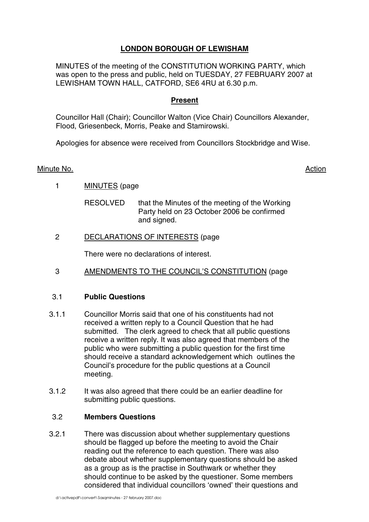# **LONDON BOROUGH OF LEWISHAM**

MINUTES of the meeting of the CONSTITUTION WORKING PARTY, which was open to the press and public, held on TUESDAY, 27 FEBRUARY 2007 at LEWISHAM TOWN HALL, CATFORD, SE6 4RU at 6.30 p.m.

# **Present**

Councillor Hall (Chair); Councillor Walton (Vice Chair) Councillors Alexander, Flood, Griesenbeck, Morris, Peake and Stamirowski.

Apologies for absence were received from Councillors Stockbridge and Wise.

### Minute No. **Action**

1 MINUTES (page

RESOLVED that the Minutes of the meeting of the Working Party held on 23 October 2006 be confirmed and signed.

2 DECLARATIONS OF INTERESTS (page

There were no declarations of interest.

3 AMENDMENTS TO THE COUNCIL'S CONSTITUTION (page

### 3.1 **Public Questions**

- 3.1.1 Councillor Morris said that one of his constituents had not received a written reply to a Council Question that he had submitted. The clerk agreed to check that all public questions receive a written reply. It was also agreed that members of the public who were submitting a public question for the first time should receive a standard acknowledgement which outlines the Council's procedure for the public questions at a Council meeting.
- 3.1.2 It was also agreed that there could be an earlier deadline for submitting public questions.

#### 3.2 **Members Questions**

3.2.1 There was discussion about whether supplementary questions should be flagged up before the meeting to avoid the Chair reading out the reference to each question. There was also debate about whether supplementary questions should be asked as a group as is the practise in Southwark or whether they should continue to be asked by the questioner. Some members considered that individual councillors 'owned' their questions and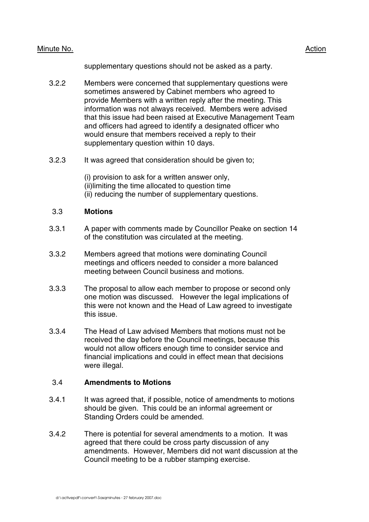### Minute No. 2008 2012 2022 2023 2024 2022 2022 2023 2024 2022 2023 2024 2022 2023 2024 2022 2023 2024 2022 2023

supplementary questions should not be asked as a party.

- 3.2.2 Members were concerned that supplementary questions were sometimes answered by Cabinet members who agreed to provide Members with a written reply after the meeting. This information was not always received. Members were advised that this issue had been raised at Executive Management Team and officers had agreed to identify a designated officer who would ensure that members received a reply to their supplementary question within 10 days.
- 3.2.3 It was agreed that consideration should be given to;

(i) provision to ask for a written answer only, (ii)limiting the time allocated to question time (ii) reducing the number of supplementary questions.

### 3.3 **Motions**

- 3.3.1 A paper with comments made by Councillor Peake on section 14 of the constitution was circulated at the meeting.
- 3.3.2 Members agreed that motions were dominating Council meetings and officers needed to consider a more balanced meeting between Council business and motions.
- 3.3.3 The proposal to allow each member to propose or second only one motion was discussed. However the legal implications of this were not known and the Head of Law agreed to investigate this issue.
- 3.3.4 The Head of Law advised Members that motions must not be received the day before the Council meetings, because this would not allow officers enough time to consider service and financial implications and could in effect mean that decisions were illegal.

#### 3.4 **Amendments to Motions**

- 3.4.1 It was agreed that, if possible, notice of amendments to motions should be given. This could be an informal agreement or Standing Orders could be amended.
- 3.4.2 There is potential for several amendments to a motion. It was agreed that there could be cross party discussion of any amendments. However, Members did not want discussion at the Council meeting to be a rubber stamping exercise.